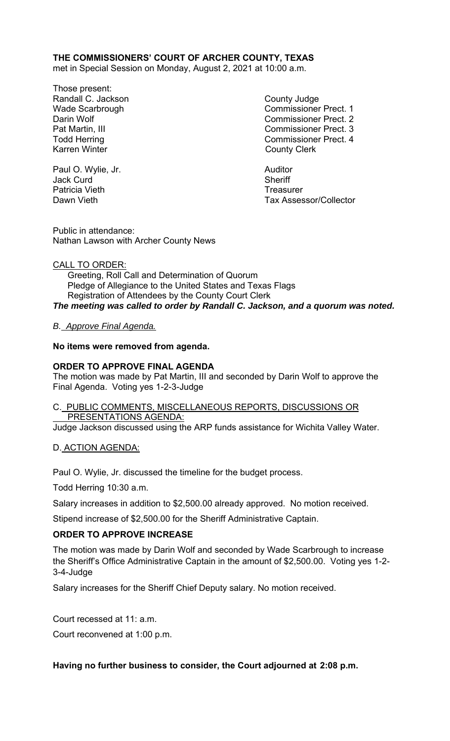# **THE COMMISSIONERS' COURT OF ARCHER COUNTY, TEXAS**

met in Special Session on Monday, August 2, 2021 at 10:00 a.m.

Those present: Randall C. Jackson **County Judge** County Judge Karren Winter **County Clerk** 

Wade Scarbrough Commissioner Prect. 1 Darin Wolf Commissioner Prect. 2 Pat Martin, III Commissioner Prect. 3 Todd Herring Todd Exercise Commissioner Prect. 4

Dawn Vieth Tax Assessor/Collector

Paul O. Wylie, Jr. **Auditor Paul O. Wylie, Jr. Auditor** Jack Curd **Sheriff** Patricia Vieth **Treasurer** Treasurer

Public in attendance: Nathan Lawson with Archer County News

## CALL TO ORDER:

 Greeting, Roll Call and Determination of Quorum Pledge of Allegiance to the United States and Texas Flags Registration of Attendees by the County Court Clerk *The meeting was called to order by Randall C. Jackson, and a quorum was noted.* 

*B. Approve Final Agenda.* 

### **No items were removed from agenda.**

## **ORDER TO APPROVE FINAL AGENDA**

The motion was made by Pat Martin, III and seconded by Darin Wolf to approve the Final Agenda. Voting yes 1-2-3-Judge

### C. PUBLIC COMMENTS, MISCELLANEOUS REPORTS, DISCUSSIONS OR PRESENTATIONS AGENDA:

Judge Jackson discussed using the ARP funds assistance for Wichita Valley Water.

# D. ACTION AGENDA:

Paul O. Wylie, Jr. discussed the timeline for the budget process.

Todd Herring 10:30 a.m.

Salary increases in addition to \$2,500.00 already approved. No motion received.

Stipend increase of \$2,500.00 for the Sheriff Administrative Captain.

# **ORDER TO APPROVE INCREASE**

The motion was made by Darin Wolf and seconded by Wade Scarbrough to increase the Sheriff's Office Administrative Captain in the amount of \$2,500.00. Voting yes 1-2- 3-4-Judge

Salary increases for the Sheriff Chief Deputy salary. No motion received.

Court recessed at 11: a.m.

Court reconvened at 1:00 p.m.

# **Having no further business to consider, the Court adjourned at 2:08 p.m.**